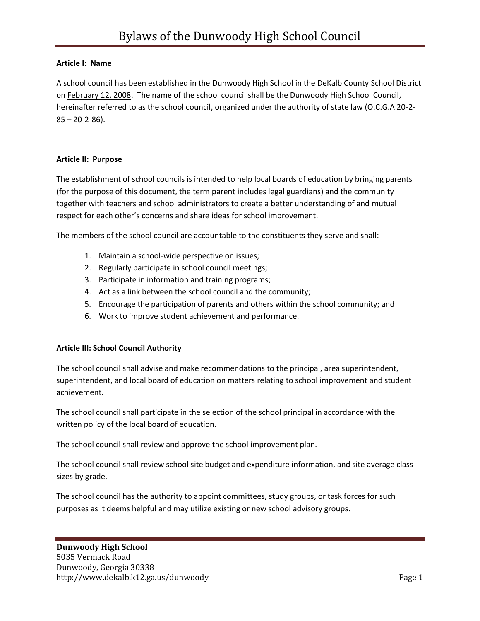#### **Article I: Name**

A school council has been established in the Dunwoody High School in the DeKalb County School District on February 12, 2008. The name of the school council shall be the Dunwoody High School Council, hereinafter referred to as the school council, organized under the authority of state law (O.C.G.A 20-2- 85 – 20-2-86).

#### **Article II: Purpose**

The establishment of school councils is intended to help local boards of education by bringing parents (for the purpose of this document, the term parent includes legal guardians) and the community together with teachers and school administrators to create a better understanding of and mutual respect for each other's concerns and share ideas for school improvement.

The members of the school council are accountable to the constituents they serve and shall:

- 1. Maintain a school-wide perspective on issues;
- 2. Regularly participate in school council meetings;
- 3. Participate in information and training programs;
- 4. Act as a link between the school council and the community;
- 5. Encourage the participation of parents and others within the school community; and
- 6. Work to improve student achievement and performance.

#### **Article III: School Council Authority**

The school council shall advise and make recommendations to the principal, area superintendent, superintendent, and local board of education on matters relating to school improvement and student achievement.

The school council shall participate in the selection of the school principal in accordance with the written policy of the local board of education.

The school council shall review and approve the school improvement plan.

The school council shall review school site budget and expenditure information, and site average class sizes by grade.

The school council has the authority to appoint committees, study groups, or task forces for such purposes as it deems helpful and may utilize existing or new school advisory groups.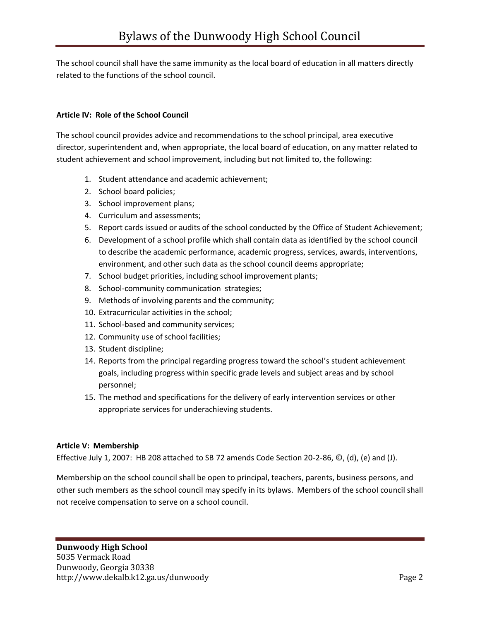The school council shall have the same immunity as the local board of education in all matters directly related to the functions of the school council.

# **Article IV: Role of the School Council**

The school council provides advice and recommendations to the school principal, area executive director, superintendent and, when appropriate, the local board of education, on any matter related to student achievement and school improvement, including but not limited to, the following:

- 1. Student attendance and academic achievement;
- 2. School board policies;
- 3. School improvement plans;
- 4. Curriculum and assessments;
- 5. Report cards issued or audits of the school conducted by the Office of Student Achievement;
- 6. Development of a school profile which shall contain data as identified by the school council to describe the academic performance, academic progress, services, awards, interventions, environment, and other such data as the school council deems appropriate;
- 7. School budget priorities, including school improvement plants;
- 8. School-community communication strategies;
- 9. Methods of involving parents and the community;
- 10. Extracurricular activities in the school;
- 11. School-based and community services;
- 12. Community use of school facilities;
- 13. Student discipline;
- 14. Reports from the principal regarding progress toward the school's student achievement goals, including progress within specific grade levels and subject areas and by school personnel;
- 15. The method and specifications for the delivery of early intervention services or other appropriate services for underachieving students.

# **Article V: Membership**

Effective July 1, 2007: HB 208 attached to SB 72 amends Code Section 20-2-86, ©, (d), (e) and (J).

Membership on the school council shall be open to principal, teachers, parents, business persons, and other such members as the school council may specify in its bylaws. Members of the school council shall not receive compensation to serve on a school council.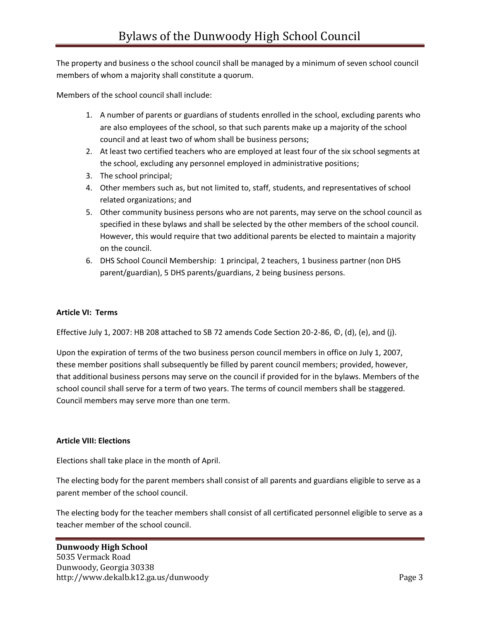The property and business o the school council shall be managed by a minimum of seven school council members of whom a majority shall constitute a quorum.

Members of the school council shall include:

- 1. A number of parents or guardians of students enrolled in the school, excluding parents who are also employees of the school, so that such parents make up a majority of the school council and at least two of whom shall be business persons;
- 2. At least two certified teachers who are employed at least four of the six school segments at the school, excluding any personnel employed in administrative positions;
- 3. The school principal;
- 4. Other members such as, but not limited to, staff, students, and representatives of school related organizations; and
- 5. Other community business persons who are not parents, may serve on the school council as specified in these bylaws and shall be selected by the other members of the school council. However, this would require that two additional parents be elected to maintain a majority on the council.
- 6. DHS School Council Membership: 1 principal, 2 teachers, 1 business partner (non DHS parent/guardian), 5 DHS parents/guardians, 2 being business persons.

#### **Article VI: Terms**

Effective July 1, 2007: HB 208 attached to SB 72 amends Code Section 20-2-86, ©, (d), (e), and (j).

Upon the expiration of terms of the two business person council members in office on July 1, 2007, these member positions shall subsequently be filled by parent council members; provided, however, that additional business persons may serve on the council if provided for in the bylaws. Members of the school council shall serve for a term of two years. The terms of council members shall be staggered. Council members may serve more than one term.

#### **Article VIII: Elections**

Elections shall take place in the month of April.

The electing body for the parent members shall consist of all parents and guardians eligible to serve as a parent member of the school council.

The electing body for the teacher members shall consist of all certificated personnel eligible to serve as a teacher member of the school council.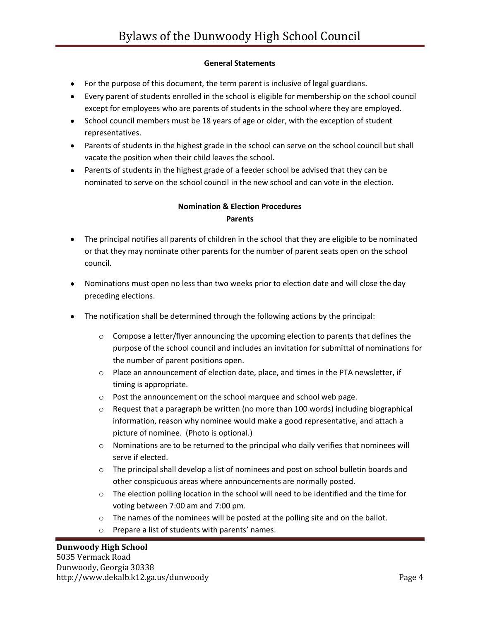# **General Statements**

- For the purpose of this document, the term parent is inclusive of legal guardians.
- Every parent of students enrolled in the school is eligible for membership on the school council except for employees who are parents of students in the school where they are employed.
- School council members must be 18 years of age or older, with the exception of student representatives.
- Parents of students in the highest grade in the school can serve on the school council but shall vacate the position when their child leaves the school.
- Parents of students in the highest grade of a feeder school be advised that they can be nominated to serve on the school council in the new school and can vote in the election.

# **Nomination & Election Procedures Parents**

- The principal notifies all parents of children in the school that they are eligible to be nominated or that they may nominate other parents for the number of parent seats open on the school council.
- Nominations must open no less than two weeks prior to election date and will close the day preceding elections.
- The notification shall be determined through the following actions by the principal:
	- $\circ$  Compose a letter/flyer announcing the upcoming election to parents that defines the purpose of the school council and includes an invitation for submittal of nominations for the number of parent positions open.
	- $\circ$  Place an announcement of election date, place, and times in the PTA newsletter, if timing is appropriate.
	- o Post the announcement on the school marquee and school web page.
	- $\circ$  Request that a paragraph be written (no more than 100 words) including biographical information, reason why nominee would make a good representative, and attach a picture of nominee. (Photo is optional.)
	- $\circ$  Nominations are to be returned to the principal who daily verifies that nominees will serve if elected.
	- $\circ$  The principal shall develop a list of nominees and post on school bulletin boards and other conspicuous areas where announcements are normally posted.
	- $\circ$  The election polling location in the school will need to be identified and the time for voting between 7:00 am and 7:00 pm.
	- o The names of the nominees will be posted at the polling site and on the ballot.
	- o Prepare a list of students with parents' names.

# **Dunwoody High School**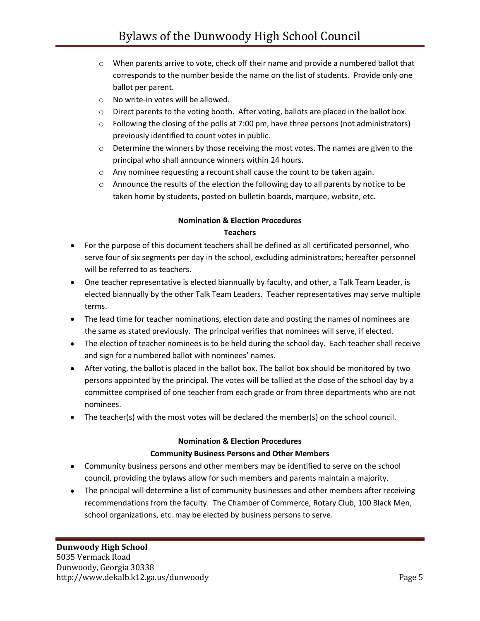- $\circ$  When parents arrive to vote, check off their name and provide a numbered ballot that corresponds to the number beside the name on the list of students. Provide only one ballot per parent.
- o No write-in votes will be allowed.
- $\circ$  Direct parents to the voting booth. After voting, ballots are placed in the ballot box.
- $\circ$  Following the closing of the polls at 7:00 pm, have three persons (not administrators) previously identified to count votes in public.
- $\circ$  Determine the winners by those receiving the most votes. The names are given to the principal who shall announce winners within 24 hours.
- o Any nominee requesting a recount shall cause the count to be taken again.
- $\circ$  Announce the results of the election the following day to all parents by notice to be taken home by students, posted on bulletin boards, marquee, website, etc.

# **Nomination & Election Procedures Teachers**

- For the purpose of this document teachers shall be defined as all certificated personnel, who serve four of six segments per day in the school, excluding administrators; hereafter personnel will be referred to as teachers.
- One teacher representative is elected biannually by faculty, and other, a Talk Team Leader, is elected biannually by the other Talk Team Leaders. Teacher representatives may serve multiple terms.
- The lead time for teacher nominations, election date and posting the names of nominees are the same as stated previously. The principal verifies that nominees will serve, if elected.
- The election of teacher nominees is to be held during the school day. Each teacher shall receive and sign for a numbered ballot with nominees' names.
- After voting, the ballot is placed in the ballot box. The ballot box should be monitored by two persons appointed by the principal. The votes will be tallied at the close of the school day by a committee comprised of one teacher from each grade or from three departments who are not nominees.
- The teacher(s) with the most votes will be declared the member(s) on the school council.

# **Nomination & Election Procedures**

# **Community Business Persons and Other Members**

- Community business persons and other members may be identified to serve on the school council, providing the bylaws allow for such members and parents maintain a majority.
- The principal will determine a list of community businesses and other members after receiving recommendations from the faculty. The Chamber of Commerce, Rotary Club, 100 Black Men, school organizations, etc. may be elected by business persons to serve.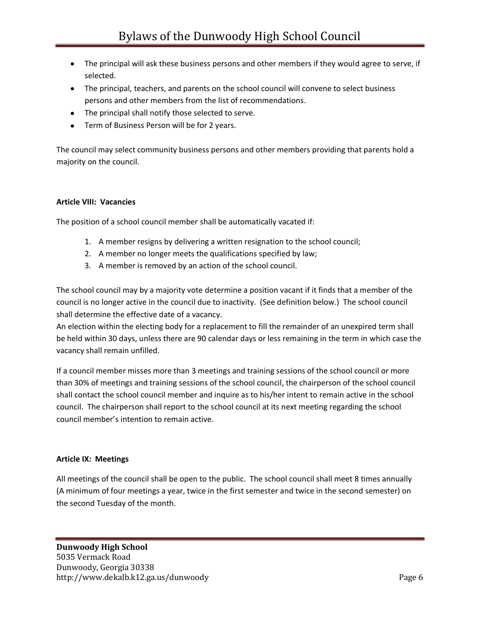- The principal will ask these business persons and other members if they would agree to serve, if selected.
- The principal, teachers, and parents on the school council will convene to select business persons and other members from the list of recommendations.
- The principal shall notify those selected to serve.
- Term of Business Person will be for 2 years.

The council may select community business persons and other members providing that parents hold a majority on the council.

# **Article VIII: Vacancies**

The position of a school council member shall be automatically vacated if:

- 1. A member resigns by delivering a written resignation to the school council;
- 2. A member no longer meets the qualifications specified by law;
- 3. A member is removed by an action of the school council.

The school council may by a majority vote determine a position vacant if it finds that a member of the council is no longer active in the council due to inactivity. (See definition below.) The school council shall determine the effective date of a vacancy.

An election within the electing body for a replacement to fill the remainder of an unexpired term shall be held within 30 days, unless there are 90 calendar days or less remaining in the term in which case the vacancy shall remain unfilled.

If a council member misses more than 3 meetings and training sessions of the school council or more than 30% of meetings and training sessions of the school council, the chairperson of the school council shall contact the school council member and inquire as to his/her intent to remain active in the school council. The chairperson shall report to the school council at its next meeting regarding the school council member's intention to remain active.

# **Article IX: Meetings**

All meetings of the council shall be open to the public. The school council shall meet 8 times annually (A minimum of four meetings a year, twice in the first semester and twice in the second semester) on the second Tuesday of the month.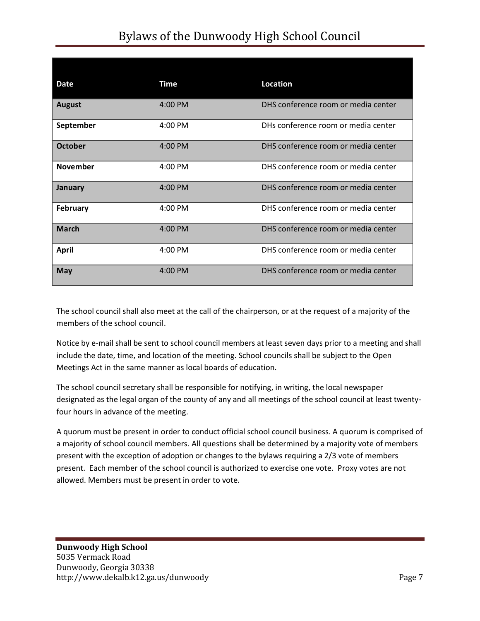# Bylaws of the Dunwoody High School Council

| <b>Date</b>     | <b>Time</b> | <b>Location</b>                     |
|-----------------|-------------|-------------------------------------|
| <b>August</b>   | 4:00 PM     | DHS conference room or media center |
| September       | 4:00 PM     | DHs conference room or media center |
| <b>October</b>  | 4:00 PM     | DHS conference room or media center |
| <b>November</b> | $4:00$ PM   | DHS conference room or media center |
| January         | 4:00 PM     | DHS conference room or media center |
| <b>February</b> | 4:00 PM     | DHS conference room or media center |
| <b>March</b>    | $4:00$ PM   | DHS conference room or media center |
| <b>April</b>    | 4:00 PM     | DHS conference room or media center |
| <b>May</b>      | 4:00 PM     | DHS conference room or media center |

The school council shall also meet at the call of the chairperson, or at the request of a majority of the members of the school council.

Notice by e-mail shall be sent to school council members at least seven days prior to a meeting and shall include the date, time, and location of the meeting. School councils shall be subject to the Open Meetings Act in the same manner as local boards of education.

The school council secretary shall be responsible for notifying, in writing, the local newspaper designated as the legal organ of the county of any and all meetings of the school council at least twentyfour hours in advance of the meeting.

A quorum must be present in order to conduct official school council business. A quorum is comprised of a majority of school council members. All questions shall be determined by a majority vote of members present with the exception of adoption or changes to the bylaws requiring a 2/3 vote of members present. Each member of the school council is authorized to exercise one vote. Proxy votes are not allowed. Members must be present in order to vote.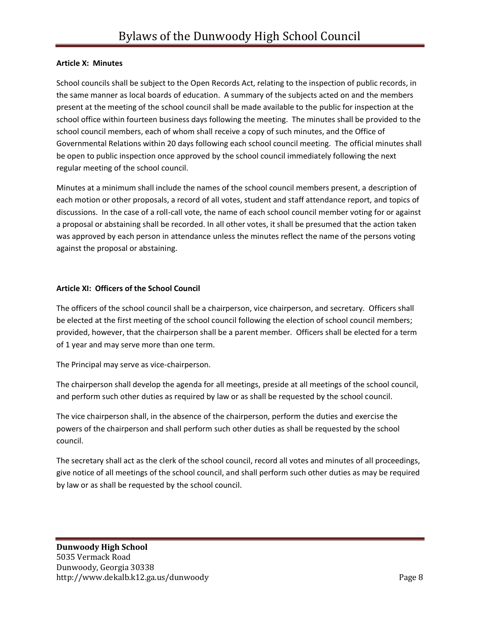#### **Article X: Minutes**

School councils shall be subject to the Open Records Act, relating to the inspection of public records, in the same manner as local boards of education. A summary of the subjects acted on and the members present at the meeting of the school council shall be made available to the public for inspection at the school office within fourteen business days following the meeting. The minutes shall be provided to the school council members, each of whom shall receive a copy of such minutes, and the Office of Governmental Relations within 20 days following each school council meeting. The official minutes shall be open to public inspection once approved by the school council immediately following the next regular meeting of the school council.

Minutes at a minimum shall include the names of the school council members present, a description of each motion or other proposals, a record of all votes, student and staff attendance report, and topics of discussions. In the case of a roll-call vote, the name of each school council member voting for or against a proposal or abstaining shall be recorded. In all other votes, it shall be presumed that the action taken was approved by each person in attendance unless the minutes reflect the name of the persons voting against the proposal or abstaining.

#### **Article XI: Officers of the School Council**

The officers of the school council shall be a chairperson, vice chairperson, and secretary. Officers shall be elected at the first meeting of the school council following the election of school council members; provided, however, that the chairperson shall be a parent member. Officers shall be elected for a term of 1 year and may serve more than one term.

The Principal may serve as vice-chairperson.

The chairperson shall develop the agenda for all meetings, preside at all meetings of the school council, and perform such other duties as required by law or as shall be requested by the school council.

The vice chairperson shall, in the absence of the chairperson, perform the duties and exercise the powers of the chairperson and shall perform such other duties as shall be requested by the school council.

The secretary shall act as the clerk of the school council, record all votes and minutes of all proceedings, give notice of all meetings of the school council, and shall perform such other duties as may be required by law or as shall be requested by the school council.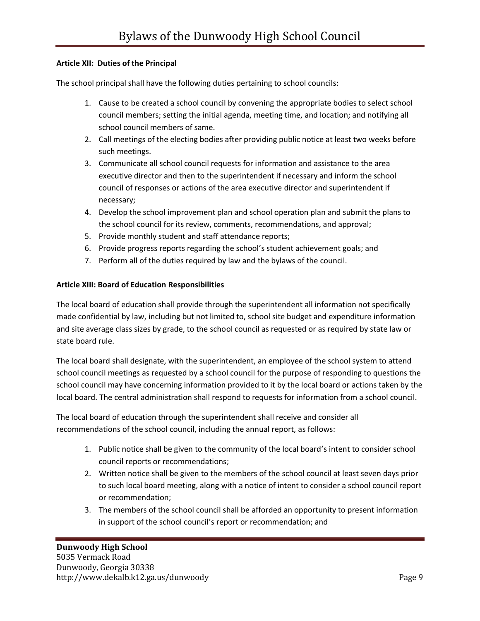# **Article XII: Duties of the Principal**

The school principal shall have the following duties pertaining to school councils:

- 1. Cause to be created a school council by convening the appropriate bodies to select school council members; setting the initial agenda, meeting time, and location; and notifying all school council members of same.
- 2. Call meetings of the electing bodies after providing public notice at least two weeks before such meetings.
- 3. Communicate all school council requests for information and assistance to the area executive director and then to the superintendent if necessary and inform the school council of responses or actions of the area executive director and superintendent if necessary;
- 4. Develop the school improvement plan and school operation plan and submit the plans to the school council for its review, comments, recommendations, and approval;
- 5. Provide monthly student and staff attendance reports;
- 6. Provide progress reports regarding the school's student achievement goals; and
- 7. Perform all of the duties required by law and the bylaws of the council.

#### **Article XIII: Board of Education Responsibilities**

The local board of education shall provide through the superintendent all information not specifically made confidential by law, including but not limited to, school site budget and expenditure information and site average class sizes by grade, to the school council as requested or as required by state law or state board rule.

The local board shall designate, with the superintendent, an employee of the school system to attend school council meetings as requested by a school council for the purpose of responding to questions the school council may have concerning information provided to it by the local board or actions taken by the local board. The central administration shall respond to requests for information from a school council.

The local board of education through the superintendent shall receive and consider all recommendations of the school council, including the annual report, as follows:

- 1. Public notice shall be given to the community of the local board's intent to consider school council reports or recommendations;
- 2. Written notice shall be given to the members of the school council at least seven days prior to such local board meeting, along with a notice of intent to consider a school council report or recommendation;
- 3. The members of the school council shall be afforded an opportunity to present information in support of the school council's report or recommendation; and